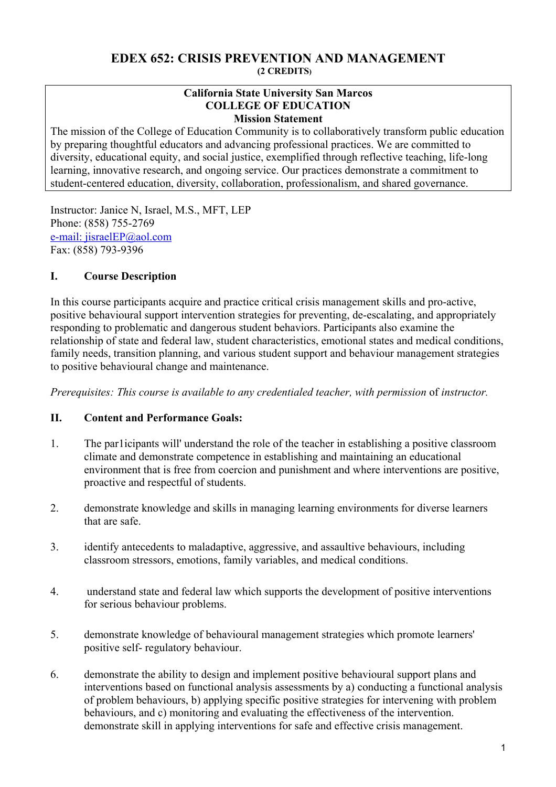## **EDEX 652: CRISIS PREVENTION AND MANAGEMENT (2 CREDITS)**

#### **California State University San Marcos COLLEGE OF EDUCATION Mission Statement**

The mission of the College of Education Community is to collaboratively transform public education by preparing thoughtful educators and advancing professional practices. We are committed to diversity, educational equity, and social justice, exemplified through reflective teaching, life-long learning, innovative research, and ongoing service. Our practices demonstrate a commitment to student-centered education, diversity, collaboration, professionalism, and shared governance.

Instructor: Janice N, Israel, M.S., MFT, LEP Phone: (858) 755-2769 e-mail: jisraelEP@aol.com Fax: (858) 793-9396

## **I. Course Description**

In this course participants acquire and practice critical crisis management skills and pro-active, positive behavioural support intervention strategies for preventing, de-escalating, and appropriately responding to problematic and dangerous student behaviors. Participants also examine the relationship of state and federal law, student characteristics, emotional states and medical conditions, family needs, transition planning, and various student support and behaviour management strategies to positive behavioural change and maintenance.

*Prerequisites: This course is available to any credentialed teacher, with permission of instructor.* 

## **II. Content and Performance Goals:**

- 1. The par1icipants will' understand the role of the teacher in establishing a positive classroom climate and demonstrate competence in establishing and maintaining an educational environment that is free from coercion and punishment and where interventions are positive, proactive and respectful of students.
- 2. demonstrate knowledge and skills in managing learning environments for diverse learners that are safe.
- 3. identify antecedents to maladaptive, aggressive, and assaultive behaviours, including classroom stressors, emotions, family variables, and medical conditions.
- 4. understand state and federal law which supports the development of positive interventions for serious behaviour problems.
- 5. demonstrate knowledge of behavioural management strategies which promote learners' positive self- regulatory behaviour.
- 6. demonstrate the ability to design and implement positive behavioural support plans and interventions based on functional analysis assessments by a) conducting a functional analysis of problem behaviours, b) applying specific positive strategies for intervening with problem behaviours, and c) monitoring and evaluating the effectiveness of the intervention. demonstrate skill in applying interventions for safe and effective crisis management.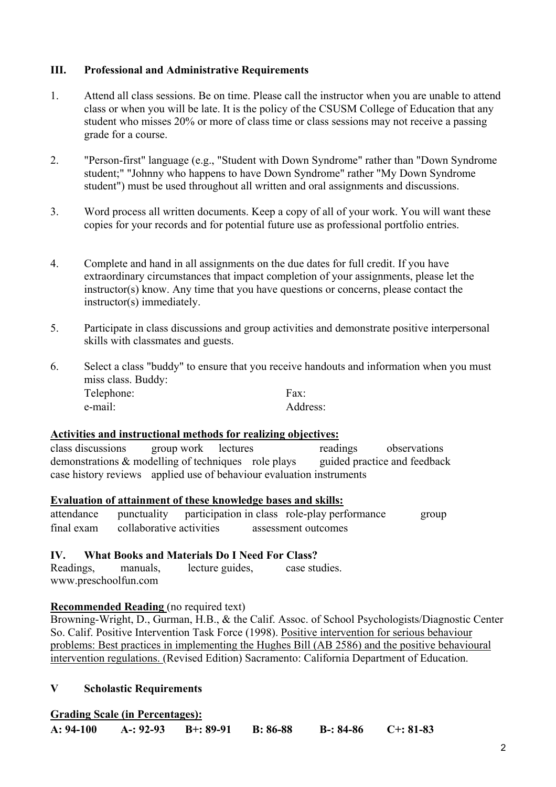## **III. Professional and Administrative Requirements**

- 1. Attend all class sessions. Be on time. Please call the instructor when you are unable to attend class or when you will be late. It is the policy of the CSUSM College of Education that any student who misses 20% or more of class time or class sessions may not receive a passing grade for a course.
- 2. "Person-first" language (e.g., "Student with Down Syndrome" rather than "Down Syndrome student;" "Johnny who happens to have Down Syndrome" rather "My Down Syndrome student") must be used throughout all written and oral assignments and discussions.
- 3. Word process all written documents. Keep a copy of all of your work. You will want these copies for your records and for potential future use as professional portfolio entries.
- 4. Complete and hand in all assignments on the due dates for full credit. If you have extraordinary circumstances that impact completion of your assignments, please let the instructor(s) know. Any time that you have questions or concerns, please contact the instructor(s) immediately.
- 5. Participate in class discussions and group activities and demonstrate positive interpersonal skills with classmates and guests.
- 6. Select a class "buddy" to ensure that you receive handouts and information when you must miss class. Buddy: Telephone: Fax: e-mail: Address:

#### **Activities and instructional methods for realizing objectives:**

class discussions group work lectures readings observations demonstrations & modelling of techniques role plays guided practice and feedback case history reviews applied use of behaviour evaluation instruments

## **Evaluation of attainment of these knowledge bases and skills:**

attendance punctuality participation in class role-play performance group final exam collaborative activities assessment outcomes

#### **IV. What Books and Materials Do I Need For Class?**

Readings, manuals, lecture guides, case studies. www.preschoolfun.com

#### **Recommended Reading** (no required text)

Browning-Wright, D., Gurman, H.B., & the Calif. Assoc. of School Psychologists/Diagnostic Center So. Calif. Positive Intervention Task Force (1998). Positive intervention for serious behaviour problems: Best practices in implementing the Hughes Bill (AB 2586) and the positive behavioural intervention regulations. (Revised Edition) Sacramento: California Department of Education.

#### **V Scholastic Requirements**

#### **Grading Scale (in Percentages):**

|  | $A: 94-100$ | A-: $92-93$ | $B^{+}: 89-91$ | $B: 86-88$ | $B-: 84-86$ | $C_{2}: 81-83$ |
|--|-------------|-------------|----------------|------------|-------------|----------------|
|--|-------------|-------------|----------------|------------|-------------|----------------|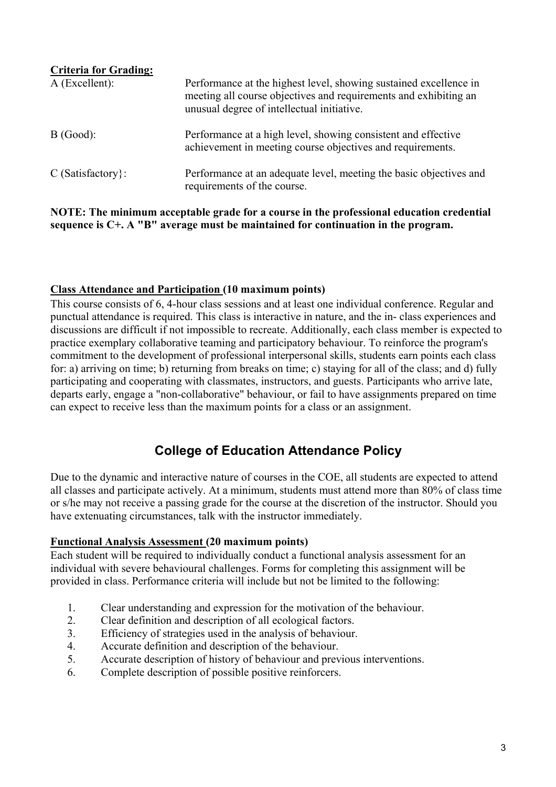| <b>Criteria for Grading:</b><br>$A$ (Excellent): | Performance at the highest level, showing sustained excellence in<br>meeting all course objectives and requirements and exhibiting an<br>unusual degree of intellectual initiative. |
|--------------------------------------------------|-------------------------------------------------------------------------------------------------------------------------------------------------------------------------------------|
| B(Good):                                         | Performance at a high level, showing consistent and effective<br>achievement in meeting course objectives and requirements.                                                         |
| $C$ (Satisfactory):                              | Performance at an adequate level, meeting the basic objectives and<br>requirements of the course.                                                                                   |

## **NOTE: The minimum acceptable grade for a course in the professional education credential sequence is C+. A "B" average must be maintained for continuation in the program.**

## **Class Attendance and Participation (10 maximum points)**

This course consists of 6, 4-hour class sessions and at least one individual conference. Regular and punctual attendance is required. This class is interactive in nature, and the in- class experiences and discussions are difficult if not impossible to recreate. Additionally, each class member is expected to practice exemplary collaborative teaming and participatory behaviour. To reinforce the program's commitment to the development of professional interpersonal skills, students earn points each class for: a) arriving on time; b) returning from breaks on time; c) staying for all of the class; and d) fully participating and cooperating with classmates, instructors, and guests. Participants who arrive late, departs early, engage a "non-collaborative" behaviour, or fail to have assignments prepared on time can expect to receive less than the maximum points for a class or an assignment.

# **College of Education Attendance Policy**

Due to the dynamic and interactive nature of courses in the COE, all students are expected to attend all classes and participate actively. At a minimum, students must attend more than 80% of class time or s/he may not receive a passing grade for the course at the discretion of the instructor. Should you have extenuating circumstances, talk with the instructor immediately.

#### **Functional Analysis Assessment (20 maximum points)**

Each student will be required to individually conduct a functional analysis assessment for an individual with severe behavioural challenges. Forms for completing this assignment will be provided in class. Performance criteria will include but not be limited to the following:

- 1. Clear understanding and expression for the motivation of the behaviour.
- 2. Clear definition and description of all ecological factors.
- 3. Efficiency of strategies used in the analysis of behaviour.
- 4. Accurate definition and description of the behaviour.
- 5. Accurate description of history of behaviour and previous interventions.
- 6. Complete description of possible positive reinforcers.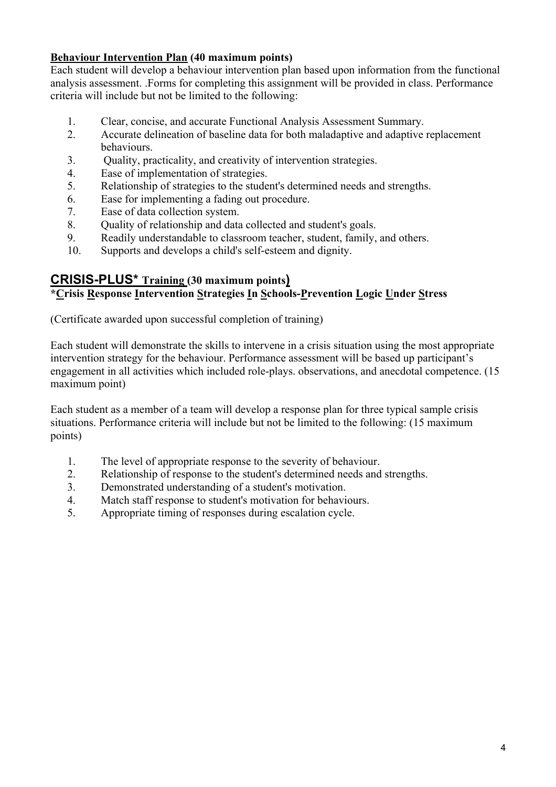## **Behaviour Intervention Plan (40 maximum points)**

Each student will develop a behaviour intervention plan based upon information from the functional analysis assessment. .Forms for completing this assignment will be provided in class. Performance criteria will include but not be limited to the following:

- 1. Clear, concise, and accurate Functional Analysis Assessment Summary.
- 2. Accurate delineation of baseline data for both maladaptive and adaptive replacement behaviours.
- 3. Quality, practicality, and creativity of intervention strategies.
- 4. Ease of implementation of strategies.
- 5. Relationship of strategies to the student's determined needs and strengths.
- 6. Ease for implementing a fading out procedure.
- 7. Ease of data collection system.
- 8. Quality of relationship and data collected and student's goals.
- 9. Readily understandable to classroom teacher, student, family, and others.
- 10. Supports and develops a child's self-esteem and dignity.

## **CRISIS-PLUS\* Training (30 maximum points) \*Crisis Response Intervention Strategies In Schools-Prevention Logic Under Stress**

(Certificate awarded upon successful completion of training)

Each student will demonstrate the skills to intervene in a crisis situation using the most appropriate intervention strategy for the behaviour. Performance assessment will be based up participant's engagement in all activities which included role-plays. observations, and anecdotal competence. (15 maximum point)

Each student as a member of a team will develop a response plan for three typical sample crisis situations. Performance criteria will include but not be limited to the following: (15 maximum points)

- 1. The level of appropriate response to the severity of behaviour.
- 2. Relationship of response to the student's determined needs and strengths.
- 3. Demonstrated understanding of a student's motivation.
- 4. Match staff response to student's motivation for behaviours.
- 5. Appropriate timing of responses during escalation cycle.